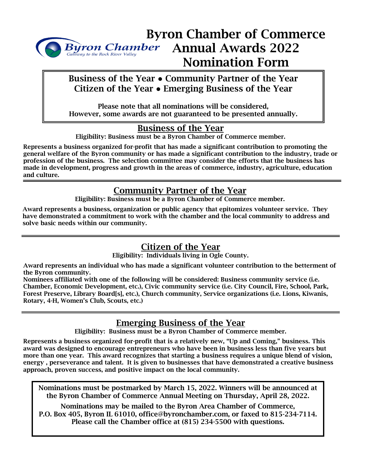

# Byron Chamber of Commerce Byron Chamber Annual Awards 2022 Nomination Form

#### Business of the Year **●** Community Partner of the Year Citizen of the Year **●** Emerging Business of the Year

Please note that all nominations will be considered, However, some awards are not guaranteed to be presented annually.

#### Business of the Year

Eligibility: Business must be a Byron Chamber of Commerce member.

Represents a business organized for-profit that has made a significant contribution to promoting the general welfare of the Byron community or has made a significant contribution to the industry, trade or profession of the business. The selection committee may consider the efforts that the business has made in development, progress and growth in the areas of commerce, industry, agriculture, education and culture.

## Community Partner of the Year

Eligibility: Business must be a Byron Chamber of Commerce member.

Award represents a business, organization or public agency that epitomizes volunteer service. They have demonstrated a commitment to work with the chamber and the local community to address and solve basic needs within our community.

# Citizen of the Year

Eligibility: Individuals living in Ogle County.

Award represents an individual who has made a significant volunteer contribution to the betterment of the Byron community.

Nominees affiliated with one of the following will be considered: Business community service (i.e. Chamber, Economic Development, etc.), Civic community service (i.e. City Council, Fire, School, Park, Forest Preserve, Library Board[s], etc.), Church community, Service organizations (i.e. Lions, Kiwanis, Rotary, 4-H, Women's Club, Scouts, etc.)

## Emerging Business of the Year

Eligibility: Business must be a Byron Chamber of Commerce member.

Represents a business organized for-profit that is a relatively new, "Up and Coming," business. This award was designed to encourage entrepreneurs who have been in business less than five years but more than one year. This award recognizes that starting a business requires a unique blend of vision, energy , perseverance and talent. It is given to businesses that have demonstrated a creative business approach, proven success, and positive impact on the local community.

Nominations must be postmarked by March 15, 2022. Winners will be announced at the Byron Chamber of Commerce Annual Meeting on Thursday, April 28, 2022.

Nominations may be mailed to the Byron Area Chamber of Commerce, P.O. Box 405, Byron IL 61010, office@byronchamber.com, or faxed to 815-234-7114. Please call the Chamber office at (815) 234-5500 with questions.